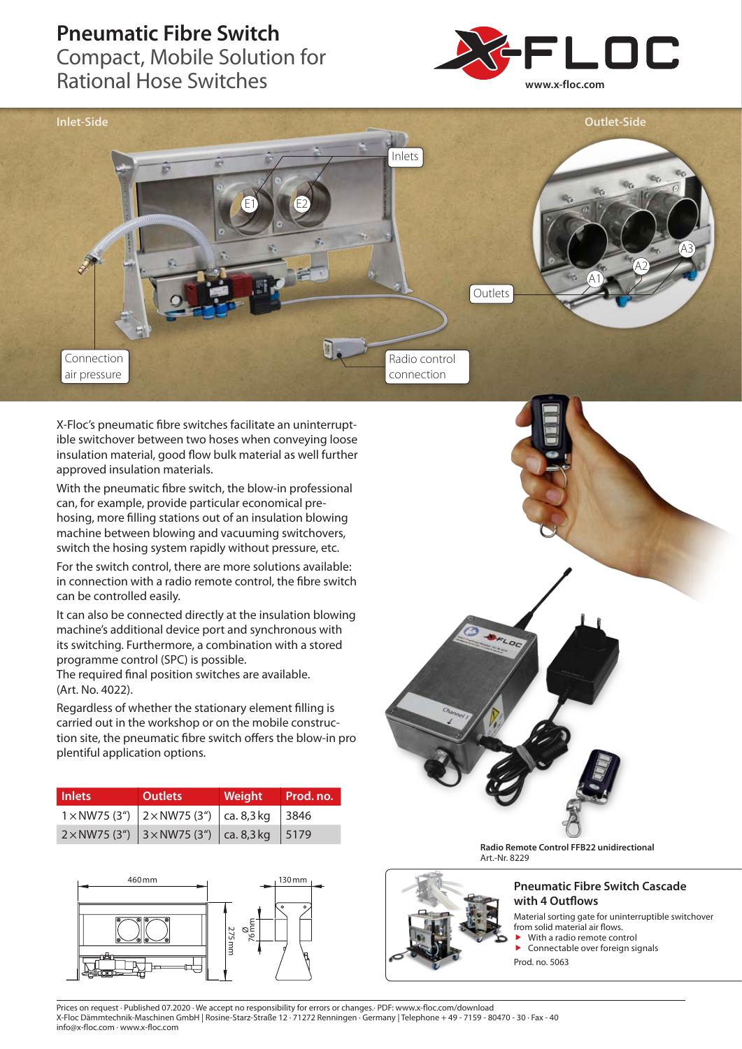## **Pneumatic Fibre Switch**

Compact, Mobile Solution for Rational Hose Switches





X-Floc's pneumatic fibre switches facilitate an uninterruptible switchover between two hoses when conveying loose insulation material, good flow bulk material as well further approved insulation materials.

With the pneumatic fibre switch, the blow-in professional can, for example, provide particular economical prehosing, more filling stations out of an insulation blowing machine between blowing and vacuuming switchovers, switch the hosing system rapidly without pressure, etc.

For the switch control, there are more solutions available: in connection with a radio remote control, the fibre switch can be controlled easily.

It can also be connected directly at the insulation blowing machine's additional device port and synchronous with its switching. Furthermore, a combination with a stored programme control (SPC) is possible.

The required final position switches are available. (Art. No. 4022).

Regardless of whether the stationary element filling is carried out in the workshop or on the mobile construction site, the pneumatic fibre switch offers the blow-in pro plentiful application options.

| <b>Inlets</b> | <b>Outlets</b>                                                              | Weight | Prod. no. |
|---------------|-----------------------------------------------------------------------------|--------|-----------|
|               | $1 \times NW$ 75 (3") $2 \times NW$ 75 (3") $\vert$ ca. 8,3 kg $\vert$ 3846 |        |           |
|               | $2 \times NW$ 75 (3") 3 $\times NW$ 75 (3") ca. 8,3 kg 5179                 |        |           |





**Radio Remote Control FFB22 unidirectional** Art.-Nr. 8229



## **Pneumatic Fibre Switch Cascade with 4 Outflows**

Material sorting gate for uninterruptible switchover from solid material air flows.

- With a radio remote control Connectable over foreign signals
- Prod. no. 5063

Prices on request · Published 07.2020 · We accept no responsibility for errors or changes.· PDF: www.x-floc.com/download X-Floc Dämmtechnik-Maschinen GmbH | Rosine-Starz-Straße 12 · 71272 Renningen · Germany | Telephone + 49 - 7159 - 80470 - 30 · Fax - 40 info@x-floc.com · www.x-floc.com